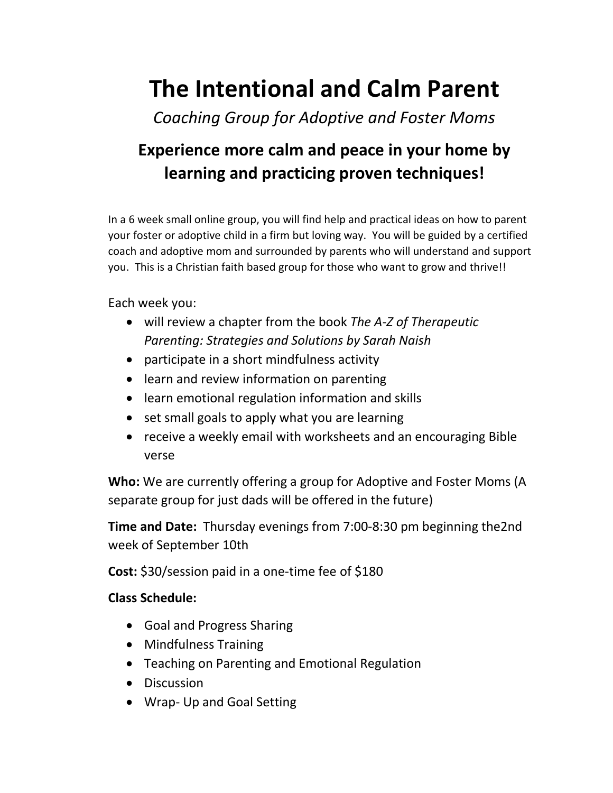## **The Intentional and Calm Parent**

*Coaching Group for Adoptive and Foster Moms*

## **Experience more calm and peace in your home by learning and practicing proven techniques!**

In a 6 week small online group, you will find help and practical ideas on how to parent your foster or adoptive child in a firm but loving way. You will be guided by a certified coach and adoptive mom and surrounded by parents who will understand and support you. This is a Christian faith based group for those who want to grow and thrive!!

Each week you:

- will review a chapter from the book *The A-Z of Therapeutic Parenting: Strategies and Solutions by Sarah Naish*
- participate in a short mindfulness activity
- learn and review information on parenting
- learn emotional regulation information and skills
- set small goals to apply what you are learning
- receive a weekly email with worksheets and an encouraging Bible verse

**Who:** We are currently offering a group for Adoptive and Foster Moms (A separate group for just dads will be offered in the future)

**Time and Date:** Thursday evenings from 7:00-8:30 pm beginning the2nd week of September 10th

**Cost:** \$30/session paid in a one-time fee of \$180

## **Class Schedule:**

- Goal and Progress Sharing
- Mindfulness Training
- Teaching on Parenting and Emotional Regulation
- Discussion
- Wrap- Up and Goal Setting